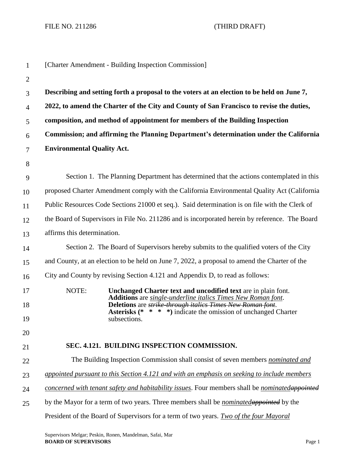FILE NO. 211286 (THIRD DRAFT)

| $\mathbf{1}$   |                                                                                             | [Charter Amendment - Building Inspection Commission]                                                                                                                                                |
|----------------|---------------------------------------------------------------------------------------------|-----------------------------------------------------------------------------------------------------------------------------------------------------------------------------------------------------|
| $\overline{2}$ |                                                                                             |                                                                                                                                                                                                     |
| 3              |                                                                                             | Describing and setting forth a proposal to the voters at an election to be held on June 7,                                                                                                          |
| $\overline{4}$ |                                                                                             | 2022, to amend the Charter of the City and County of San Francisco to revise the duties,                                                                                                            |
| 5              |                                                                                             | composition, and method of appointment for members of the Building Inspection                                                                                                                       |
| 6              |                                                                                             | Commission; and affirming the Planning Department's determination under the California                                                                                                              |
| 7              | <b>Environmental Quality Act.</b>                                                           |                                                                                                                                                                                                     |
| 8              |                                                                                             |                                                                                                                                                                                                     |
| 9              |                                                                                             | Section 1. The Planning Department has determined that the actions contemplated in this                                                                                                             |
| 10             |                                                                                             | proposed Charter Amendment comply with the California Environmental Quality Act (California                                                                                                         |
| 11             |                                                                                             | Public Resources Code Sections 21000 et seq.). Said determination is on file with the Clerk of                                                                                                      |
| 12             |                                                                                             | the Board of Supervisors in File No. 211286 and is incorporated herein by reference. The Board                                                                                                      |
| 13             | affirms this determination.                                                                 |                                                                                                                                                                                                     |
| 14             |                                                                                             | Section 2. The Board of Supervisors hereby submits to the qualified voters of the City                                                                                                              |
| 15             |                                                                                             | and County, at an election to be held on June 7, 2022, a proposal to amend the Charter of the                                                                                                       |
| 16             |                                                                                             | City and County by revising Section 4.121 and Appendix D, to read as follows:                                                                                                                       |
| 17             | NOTE:                                                                                       | Unchanged Charter text and uncodified text are in plain font.                                                                                                                                       |
| 18             |                                                                                             | Additions are single-underline italics Times New Roman font.<br>Deletions are strike-through italies Times New Roman font.<br><b>Asterisks</b> (* * * *) indicate the omission of unchanged Charter |
| 19             |                                                                                             | subsections.                                                                                                                                                                                        |
| 20             |                                                                                             |                                                                                                                                                                                                     |
| 21             |                                                                                             | SEC. 4.121. BUILDING INSPECTION COMMISSION.                                                                                                                                                         |
| 22             | The Building Inspection Commission shall consist of seven members nominated and             |                                                                                                                                                                                                     |
| 23             | appointed pursuant to this Section 4.121 and with an emphasis on seeking to include members |                                                                                                                                                                                                     |
| 24             |                                                                                             | concerned with tenant safety and habitability issues. Four members shall be nominatedappointed                                                                                                      |
| 25             |                                                                                             | by the Mayor for a term of two years. Three members shall be <i>nominated</i> appointed by the                                                                                                      |
|                |                                                                                             | President of the Board of Supervisors for a term of two years. Two of the four Mayoral                                                                                                              |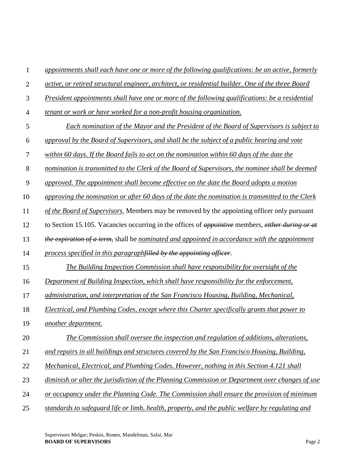| $\mathbf{1}$   | appointments shall each have one or more of the following qualifications: be an active, formerly  |
|----------------|---------------------------------------------------------------------------------------------------|
| $\overline{2}$ | active, or retired structural engineer, architect, or residential builder. One of the three Board |
| 3              | President appointments shall have one or more of the following qualifications: be a residential   |
| $\overline{4}$ | tenant or work or have worked for a non-profit housing organization.                              |
| 5              | <b>Each nomination of the Mayor and the President of the Board of Supervisors is subject to</b>   |
| 6              | approval by the Board of Supervisors, and shall be the subject of a public hearing and vote       |
| 7              | within 60 days. If the Board fails to act on the nomination within 60 days of the date the        |
| 8              | nomination is transmitted to the Clerk of the Board of Supervisors, the nominee shall be deemed   |
| 9              | approved. The appointment shall become effective on the date the Board adopts a motion            |
| 10             | approving the nomination or after 60 days of the date the nomination is transmitted to the Clerk  |
| 11             | of the Board of Supervisors. Members may be removed by the appointing officer only pursuant       |
| 12             | to Section 15.105. Vacancies occurring in the offices of appointive members, either during or at  |
| 13             | the expiration of a term, shall be nominated and appointed in accordance with the appointment     |
| 14             | process specified in this paragraphfilled by the appointing officer.                              |
| 15             | The Building Inspection Commission shall have responsibility for oversight of the                 |
| 16             | Department of Building Inspection, which shall have responsibility for the enforcement,           |
| 17             | administration, and interpretation of the San Francisco Housing, Building, Mechanical,            |
| 18             | Electrical, and Plumbing Codes, except where this Charter specifically grants that power to       |
| 19             | another department.                                                                               |
| 20             | The Commission shall oversee the inspection and regulation of additions, alterations,             |
| 21             | and repairs in all buildings and structures covered by the San Francisco Housing, Building,       |
| 22             | Mechanical, Electrical, and Plumbing Codes. However, nothing in this Section 4.121 shall          |
| 23             | diminish or alter the jurisdiction of the Planning Commission or Department over changes of use   |
| 24             | or occupancy under the Planning Code. The Commission shall ensure the provision of minimum        |
| 25             | standards to safeguard life or limb, health, property, and the public welfare by regulating and   |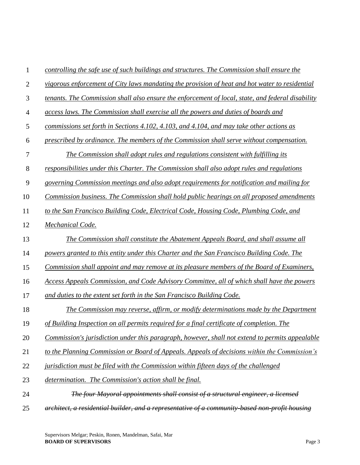| $\mathbf{1}$   | controlling the safe use of such buildings and structures. The Commission shall ensure the        |
|----------------|---------------------------------------------------------------------------------------------------|
| $\overline{2}$ | vigorous enforcement of City laws mandating the provision of heat and hot water to residential    |
| 3              | tenants. The Commission shall also ensure the enforcement of local, state, and federal disability |
| $\overline{4}$ | access laws. The Commission shall exercise all the powers and duties of boards and                |
| 5              | commissions set forth in Sections 4.102, 4.103, and 4.104, and may take other actions as          |
| 6              | prescribed by ordinance. The members of the Commission shall serve without compensation.          |
| 7              | The Commission shall adopt rules and regulations consistent with fulfilling its                   |
| 8              | responsibilities under this Charter. The Commission shall also adopt rules and regulations        |
| 9              | governing Commission meetings and also adopt requirements for notification and mailing for        |
| 10             | Commission business. The Commission shall hold public hearings on all proposed amendments         |
| 11             | to the San Francisco Building Code, Electrical Code, Housing Code, Plumbing Code, and             |
| 12             | Mechanical Code.                                                                                  |
| 13             | The Commission shall constitute the Abatement Appeals Board, and shall assume all                 |
| 14             | powers granted to this entity under this Charter and the San Francisco Building Code. The         |
| 15             | Commission shall appoint and may remove at its pleasure members of the Board of Examiners,        |
| 16             | Access Appeals Commission, and Code Advisory Committee, all of which shall have the powers        |
| 17             | and duties to the extent set forth in the San Francisco Building Code.                            |
| 18             | The Commission may reverse, affirm, or modify determinations made by the Department               |
| 19             | of Building Inspection on all permits required for a final certificate of completion. The         |
| 20             | Commission's jurisdiction under this paragraph, however, shall not extend to permits appealable   |
| 21             | to the Planning Commission or Board of Appeals. Appeals of decisions within the Commission's      |
| 22             | jurisdiction must be filed with the Commission within fifteen days of the challenged              |
| 23             | determination. The Commission's action shall be final.                                            |
| 24             | The four Mayoral appointments shall consist of a structural engineer, a licensed                  |
| 25             | architect, a residential builder, and a representative of a community-based non-profit housing    |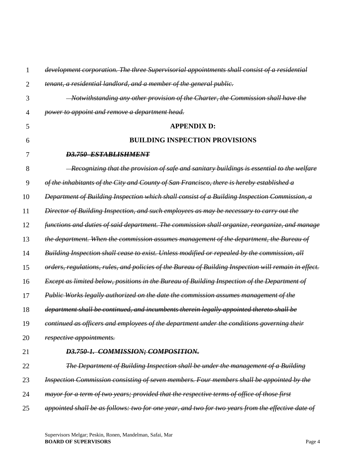| 1              | development corporation. The three Supervisorial appointments shall consist of a residential         |
|----------------|------------------------------------------------------------------------------------------------------|
| $\overline{2}$ | tenant, a residential landlord, and a member of the general public.                                  |
| 3              | Notwithstanding any other provision of the Charter, the Commission shall have the                    |
| 4              | power to appoint and remove a department head.                                                       |
| 5              | <b>APPENDIX D:</b>                                                                                   |
| 6              | <b>BUILDING INSPECTION PROVISIONS</b>                                                                |
| 7              | <b>D3.750 ESTABLISHMENT</b>                                                                          |
| 8              | - Recognizing that the provision of safe and sanitary buildings is essential to the welfare          |
| 9              | of the inhabitants of the City and County of San Francisco, there is hereby established a            |
| 10             | Department of Building Inspection which shall consist of a Building Inspection Commission, a         |
| 11             | Director of Building Inspection, and such employees as may be necessary to carry out the             |
| 12             | functions and duties of said department. The commission shall organize, reorganize, and manage       |
| 13             | the department. When the commission assumes management of the department, the Bureau of              |
| 14             | Building Inspection shall cease to exist. Unless modified or repealed by the commission, all         |
| 15             | orders, regulations, rules, and policies of the Bureau of Building Inspection will remain in effect. |
| 16             | Except as limited below, positions in the Bureau of Building Inspection of the Department of         |
| 17             | Public Works legally authorized on the date the commission assumes management of the                 |
| 18             | department shall be continued, and incumbents therein legally appointed thereto shall be             |
| 19             | continued as officers and employees of the department under the conditions governing their           |
| 20             | respective appointments.                                                                             |
| 21             | D3.750-1. COMMISSION; COMPOSITION.                                                                   |
| 22             | The Department of Building Inspection shall be under the management of a Building                    |
| 23             | Inspection Commission consisting of seven members. Four members shall be appointed by the            |
| 24             | mayor for a term of two years; provided that the respective terms of office of those first           |
| 25             | appointed shall be as follows: two for one year, and two for two years from the effective date of    |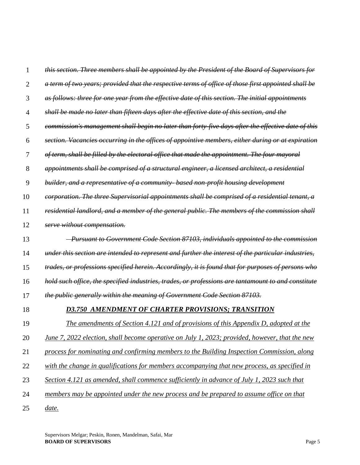1 2 3 4 5 6 7 8 9 10 11 12 13 14 15 16 17 18 19 20 21 22 23 24 *this section. Three members shall be appointed by the President of the Board of Supervisors for a term of two years; provided that the respective terms of office of those first appointed shall be as follows: three for one year from the effective date of this section. The initial appointments shall be made no later than fifteen days after the effective date of this section, and the commission's management shall begin no later than forty-five days after the effective date of this section. Vacancies occurring in the offices of appointive members, either during or at expiration of term, shall be filled by the electoral office that made the appointment. The four mayoral appointments shall be comprised of a structural engineer, a licensed architect, a residential builder, and a representative of a community- based non-profit housing development corporation. The three Supervisorial appointments shall be comprised of a residential tenant, a residential landlord, and a member of the general public. The members of the commission shall serve without compensation. Pursuant to Government Code Section 87103, individuals appointed to the commission under this section are intended to represent and further the interest of the particular industries, trades, or professions specified herein. Accordingly, it is found that for purposes of persons who hold such office, the specified industries, trades, or professions are tantamount to and constitute the public generally within the meaning of Government Code Section 87103. D3.750 AMENDMENT OF CHARTER PROVISIONS; TRANSITION The amendments of Section 4.121 and of provisions of this Appendix D, adopted at the June 7, 2022 election, shall become operative on July 1, 2023; provided, however, that the new process for nominating and confirming members to the Building Inspection Commission, along with the change in qualifications for members accompanying that new process, as specified in Section 4.121 as amended, shall commence sufficiently in advance of July 1, 2023 such that members may be appointed under the new process and be prepared to assume office on that* 

25 *date.*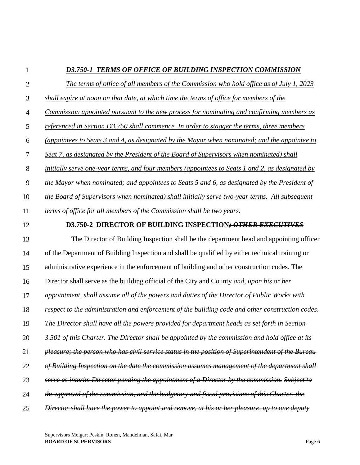# 1

# *D3.750-1 TERMS OF OFFICE OF BUILDING INSPECTION COMMISSION*

| $\mathfrak{2}$ | The terms of office of all members of the Commission who hold office as of July 1, 2023           |
|----------------|---------------------------------------------------------------------------------------------------|
| 3              | shall expire at noon on that date, at which time the terms of office for members of the           |
| $\overline{4}$ | Commission appointed pursuant to the new process for nominating and confirming members as         |
| 5              | referenced in Section D3.750 shall commence. In order to stagger the terms, three members         |
| 6              | (appointees to Seats 3 and 4, as designated by the Mayor when nominated; and the appointee to     |
| $\tau$         | Seat 7, as designated by the President of the Board of Supervisors when nominated) shall          |
| 8              | initially serve one-year terms, and four members (appointees to Seats 1 and 2, as designated by   |
| 9              | the Mayor when nominated; and appointees to Seats 5 and 6, as designated by the President of      |
| 10             | the Board of Supervisors when nominated) shall initially serve two-year terms. All subsequent     |
| 11             | terms of office for all members of the Commission shall be two years.                             |
| 12             | D3.750-2 DIRECTOR OF BUILDING INSPECTION; OTHER EXECUTIVES                                        |
| 13             | The Director of Building Inspection shall be the department head and appointing officer           |
| 14             | of the Department of Building Inspection and shall be qualified by either technical training or   |
| 15             | administrative experience in the enforcement of building and other construction codes. The        |
| 16             | Director shall serve as the building official of the City and County-and, upon his or her         |
| 17             | appointment, shall assume all of the powers and duties of the Director of Public Works with       |
| 18             | respect to the administration and enforcement of the building code and other construction codes.  |
| 19             | The Director shall have all the powers provided for department heads as set forth in Section      |
| 20             | 3.501 of this Charter. The Director shall be appointed by the commission and hold office at its   |
| 21             | pleasure; the person who has civil service status in the position of Superintendent of the Bureau |
| 22             | of Building Inspection on the date the commission assumes management of the department shall      |
| 23             | serve as interim Director pending the appointment of a Director by the commission. Subject to     |
| 24             | the approval of the commission, and the budgetary and fiscal provisions of this Charter, the      |
| 25             | Director shall have the power to appoint and remove, at his or her pleasure, up to one deputy     |
|                |                                                                                                   |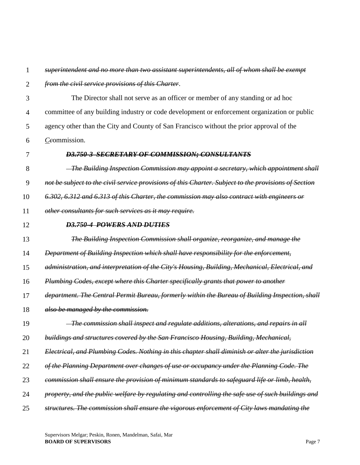### 1 *superintendent and no more than two assistant superintendents, all of whom shall be exempt*

#### 2 *from the civil service provisions of this Charter*.

- 3 4 5 6 The Director shall not serve as an officer or member of any standing or ad hoc committee of any building industry or code development or enforcement organization or public agency other than the City and County of San Francisco without the prior approval of the *Cc*ommission.
- 7

### *D3.750-3 SECRETARY OF COMMISSION; CONSULTANTS*

8  *The Building Inspection Commission may appoint a secretary, which appointment shall* 

9 *not be subject to the civil service provisions of this Charter. Subject to the provisions of Section* 

10 *6.302, 6.312 and 6.313 of this Charter, the commission may also contract with engineers or* 

11 *other consultants for such services as it may require.* 

12

### *D3.750-4 POWERS AND DUTIES*

13 *The Building Inspection Commission shall organize, reorganize, and manage the* 

14 *Department of Building Inspection which shall have responsibility for the enforcement,* 

15 *administration, and interpretation of the City's Housing, Building, Mechanical, Electrical, and* 

16 *Plumbing Codes, except where this Charter specifically grants that power to another* 

- 17 *department. The Central Permit Bureau, formerly within the Bureau of Building Inspection, shall*
- 18 *also be managed by the commission.*

#### 19  *The commission shall inspect and regulate additions, alterations, and repairs in all*

- 20 *buildings and structures covered by the San Francisco Housing, Building, Mechanical,*
- 21 *Electrical, and Plumbing Codes. Nothing in this chapter shall diminish or alter the jurisdiction*
- 22 *of the Planning Department over changes of use or occupancy under the Planning Code. The*
- 23 *commission shall ensure the provision of minimum standards to safeguard life or limb, health,*

24 *property, and the public welfare by regulating and controlling the safe use of such buildings and* 

25 *structures. The commission shall ensure the vigorous enforcement of City laws mandating the*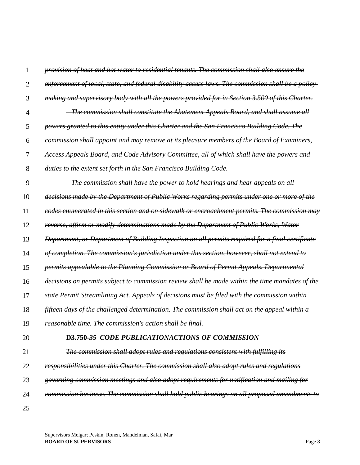| 1              | provision of heat and hot water to residential tenants. The commission shall also ensure the       |
|----------------|----------------------------------------------------------------------------------------------------|
| $\overline{2}$ | enforcement of local, state, and federal disability access laws. The commission shall be a policy- |
| 3              | making and supervisory body with all the powers provided for in Section 3.500 of this Charter.     |
| 4              | <del>The commission shall constitute the Abatement Appeals Board, and shall assume all</del>       |
| 5              | powers granted to this entity under this Charter and the San Francisco Building Code. The          |
| 6              | commission shall appoint and may remove at its pleasure members of the Board of Examiners,         |
| 7              | Access Appeals Board, and Code Advisory Committee, all of which shall have the powers and          |
| 8              | duties to the extent set forth in the San Francisco Building Code.                                 |
| 9              | The commission shall have the power to hold hearings and hear appeals on all                       |
| 10             | decisions made by the Department of Public Works regarding permits under one or more of the        |
| 11             | codes enumerated in this section and on sidewalk or encroachment permits. The commission may       |
| 12             | reverse, affirm or modify determinations made by the Department of Public Works, Water             |
| 13             | Department, or Department of Building Inspection on all permits required for a final certificate   |
| 14             | of completion. The commission's jurisdiction under this section, however, shall not extend to      |
| 15             | permits appealable to the Planning Commission or Board of Permit Appeals. Departmental             |
| 16             | decisions on permits subject to commission review shall be made within the time mandates of the    |
| 17             | state Permit Streamlining Act. Appeals of decisions must be filed with the commission within       |
| 18             | fifteen days of the challenged determination. The commission shall act on the appeal within a      |
| 19             | reasonable time. The commission's action shall be final.                                           |
| 20             | D3.750-35 CODE PUBLICATIONACTIONS OF COMMISSION                                                    |
| 21             | The commission shall adopt rules and regulations consistent with fulfilling its                    |
| 22             | responsibilities under this Charter. The commission shall also adopt rules and regulations         |
| 23             | governing commission meetings and also adopt requirements for notification and mailing for         |
| 24             | commission business. The commission shall hold public hearings on all proposed amendments to       |
| 25             |                                                                                                    |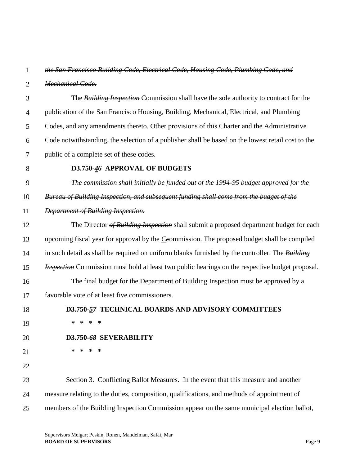### 1 *the San Francisco Building Code, Electrical Code, Housing Code, Plumbing Code, and*

2 *Mechanical Code.*

3 4 5 6 7 The *Building Inspection* Commission shall have the sole authority to contract for the publication of the San Francisco Housing, Building, Mechanical, Electrical, and Plumbing Codes, and any amendments thereto. Other provisions of this Charter and the Administrative Code notwithstanding, the selection of a publisher shall be based on the lowest retail cost to the public of a complete set of these codes.

8

## **D3.750-***46* **APPROVAL OF BUDGETS**

9 *The commission shall initially be funded out of the 1994-95 budget approved for the* 

10 *Bureau of Building Inspection, and subsequent funding shall come from the budget of the* 

- 11 *Department of Building Inspection.*
- 12 13 14 15 16 17 18 19 20 21 The Director *of Building Inspection* shall submit a proposed department budget for each upcoming fiscal year for approval by the *Cc*ommission. The proposed budget shall be compiled in such detail as shall be required on uniform blanks furnished by the controller. The *Building Inspection* Commission must hold at least two public hearings on the respective budget proposal. The final budget for the Department of Building Inspection must be approved by a favorable vote of at least five commissioners. **D3.750-***57* **TECHNICAL BOARDS AND ADVISORY COMMITTEES \* \* \* \* D3.750-***68* **SEVERABILITY \* \* \* \***
- 22

23 24 25 Section 3. Conflicting Ballot Measures. In the event that this measure and another measure relating to the duties, composition, qualifications, and methods of appointment of members of the Building Inspection Commission appear on the same municipal election ballot,